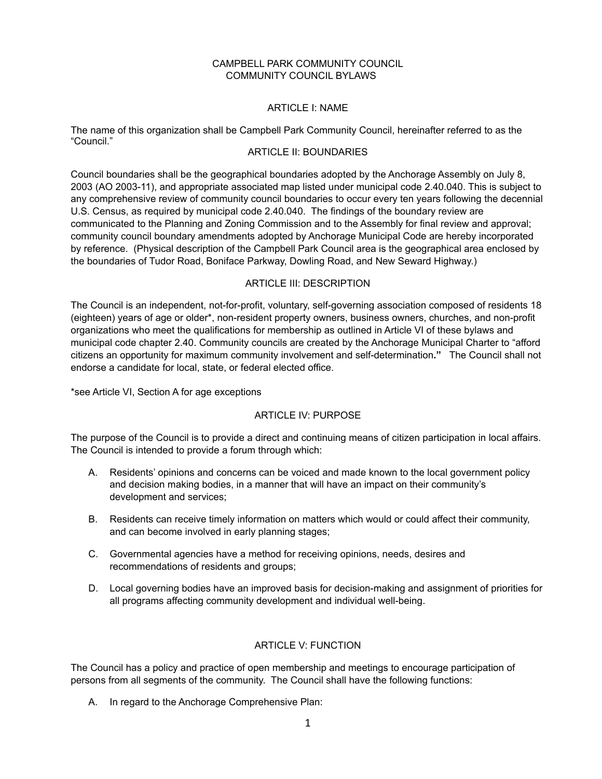#### CAMPBELL PARK COMMUNITY COUNCIL COMMUNITY COUNCIL BYLAWS

#### ARTICLE I: NAME

The name of this organization shall be Campbell Park Community Council, hereinafter referred to as the "Council."

# ARTICLE II: BOUNDARIES

Council boundaries shall be the geographical boundaries adopted by the Anchorage Assembly on July 8, 2003 (AO 2003-11), and appropriate associated map listed under municipal code 2.40.040. This is subject to any comprehensive review of community council boundaries to occur every ten years following the decennial U.S. Census, as required by municipal code 2.40.040. The findings of the boundary review are communicated to the Planning and Zoning Commission and to the Assembly for final review and approval; community council boundary amendments adopted by Anchorage Municipal Code are hereby incorporated by reference. (Physical description of the Campbell Park Council area is the geographical area enclosed by the boundaries of Tudor Road, Boniface Parkway, Dowling Road, and New Seward Highway.)

#### ARTICLE III: DESCRIPTION

The Council is an independent, not-for-profit, voluntary, self-governing association composed of residents 18 (eighteen) years of age or older\*, non-resident property owners, business owners, churches, and non-profit organizations who meet the qualifications for membership as outlined in Article VI of these bylaws and municipal code chapter 2.40. Community councils are created by the Anchorage Municipal Charter to "afford citizens an opportunity for maximum community involvement and self-determination**."** The Council shall not endorse a candidate for local, state, or federal elected office.

\*see Article VI, Section A for age exceptions

## ARTICLE IV: PURPOSE

The purpose of the Council is to provide a direct and continuing means of citizen participation in local affairs. The Council is intended to provide a forum through which:

- A. Residents' opinions and concerns can be voiced and made known to the local government policy and decision making bodies, in a manner that will have an impact on their community's development and services;
- B. Residents can receive timely information on matters which would or could affect their community, and can become involved in early planning stages;
- C. Governmental agencies have a method for receiving opinions, needs, desires and recommendations of residents and groups;
- D. Local governing bodies have an improved basis for decision-making and assignment of priorities for all programs affecting community development and individual well-being.

## ARTICLE V: FUNCTION

The Council has a policy and practice of open membership and meetings to encourage participation of persons from all segments of the community. The Council shall have the following functions:

A. In regard to the Anchorage Comprehensive Plan: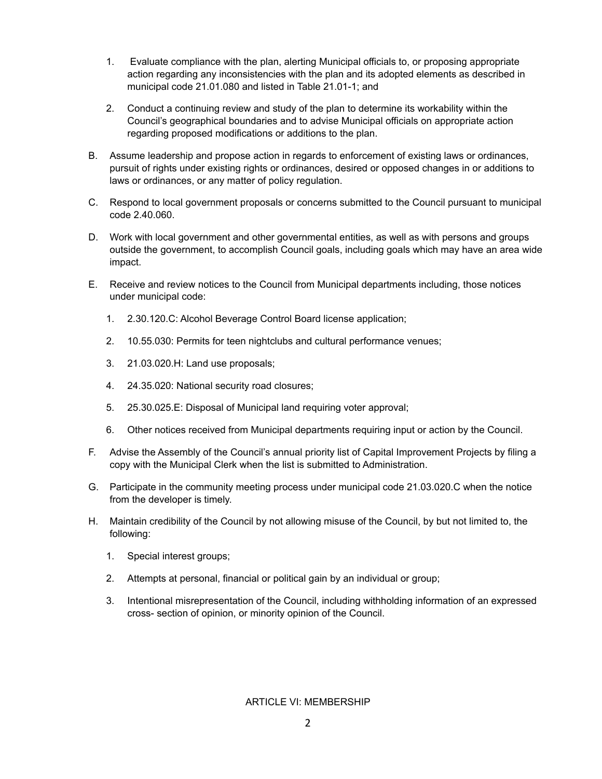- 1. Evaluate compliance with the plan, alerting Municipal officials to, or proposing appropriate action regarding any inconsistencies with the plan and its adopted elements as described in municipal code 21.01.080 and listed in Table 21.01-1; and
- 2. Conduct a continuing review and study of the plan to determine its workability within the Council's geographical boundaries and to advise Municipal officials on appropriate action regarding proposed modifications or additions to the plan.
- B. Assume leadership and propose action in regards to enforcement of existing laws or ordinances, pursuit of rights under existing rights or ordinances, desired or opposed changes in or additions to laws or ordinances, or any matter of policy regulation.
- C. Respond to local government proposals or concerns submitted to the Council pursuant to municipal code 2.40.060.
- D. Work with local government and other governmental entities, as well as with persons and groups outside the government, to accomplish Council goals, including goals which may have an area wide impact.
- E. Receive and review notices to the Council from Municipal departments including, those notices under municipal code:
	- 1. 2.30.120.C: Alcohol Beverage Control Board license application;
	- 2. 10.55.030: Permits for teen nightclubs and cultural performance venues;
	- 3. 21.03.020.H: Land use proposals;
	- 4. 24.35.020: National security road closures;
	- 5. 25.30.025.E: Disposal of Municipal land requiring voter approval;
	- 6. Other notices received from Municipal departments requiring input or action by the Council.
- F. Advise the Assembly of the Council's annual priority list of Capital Improvement Projects by filing a copy with the Municipal Clerk when the list is submitted to Administration.
- G. Participate in the community meeting process under municipal code 21.03.020.C when the notice from the developer is timely.
- H. Maintain credibility of the Council by not allowing misuse of the Council, by but not limited to, the following:
	- 1. Special interest groups;
	- 2. Attempts at personal, financial or political gain by an individual or group;
	- 3. Intentional misrepresentation of the Council, including withholding information of an expressed cross- section of opinion, or minority opinion of the Council.

#### ARTICLE VI: MEMBERSHIP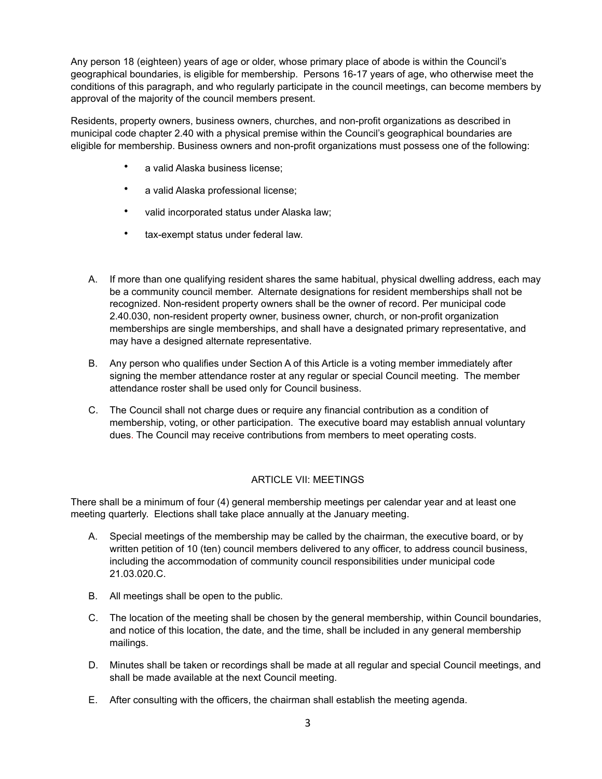Any person 18 (eighteen) years of age or older, whose primary place of abode is within the Council's geographical boundaries, is eligible for membership. Persons 16-17 years of age, who otherwise meet the conditions of this paragraph, and who regularly participate in the council meetings, can become members by approval of the majority of the council members present.

Residents, property owners, business owners, churches, and non-profit organizations as described in municipal code chapter 2.40 with a physical premise within the Council's geographical boundaries are eligible for membership. Business owners and non-profit organizations must possess one of the following:

- a valid Alaska business license;
- a valid Alaska professional license;
- valid incorporated status under Alaska law;
- tax-exempt status under federal law.
- A. If more than one qualifying resident shares the same habitual, physical dwelling address, each may be a community council member. Alternate designations for resident memberships shall not be recognized. Non-resident property owners shall be the owner of record. Per municipal code 2.40.030, non-resident property owner, business owner, church, or non-profit organization memberships are single memberships, and shall have a designated primary representative, and may have a designed alternate representative.
- B. Any person who qualifies under Section A of this Article is a voting member immediately after signing the member attendance roster at any regular or special Council meeting. The member attendance roster shall be used only for Council business.
- C. The Council shall not charge dues or require any financial contribution as a condition of membership, voting, or other participation. The executive board may establish annual voluntary dues. The Council may receive contributions from members to meet operating costs.

## ARTICLE VII: MEETINGS

There shall be a minimum of four (4) general membership meetings per calendar year and at least one meeting quarterly. Elections shall take place annually at the January meeting.

- A. Special meetings of the membership may be called by the chairman, the executive board, or by written petition of 10 (ten) council members delivered to any officer, to address council business, including the accommodation of community council responsibilities under municipal code 21.03.020.C.
- B. All meetings shall be open to the public.
- C. The location of the meeting shall be chosen by the general membership, within Council boundaries, and notice of this location, the date, and the time, shall be included in any general membership mailings.
- D. Minutes shall be taken or recordings shall be made at all regular and special Council meetings, and shall be made available at the next Council meeting.
- E. After consulting with the officers, the chairman shall establish the meeting agenda.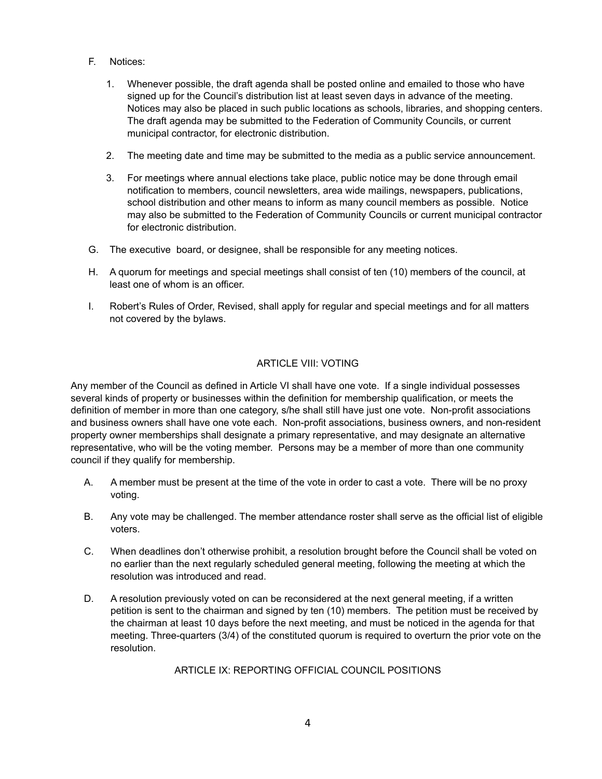- F. Notices:
	- 1. Whenever possible, the draft agenda shall be posted online and emailed to those who have signed up for the Council's distribution list at least seven days in advance of the meeting. Notices may also be placed in such public locations as schools, libraries, and shopping centers. The draft agenda may be submitted to the Federation of Community Councils, or current municipal contractor, for electronic distribution.
	- 2. The meeting date and time may be submitted to the media as a public service announcement.
	- 3. For meetings where annual elections take place, public notice may be done through email notification to members, council newsletters, area wide mailings, newspapers, publications, school distribution and other means to inform as many council members as possible. Notice may also be submitted to the Federation of Community Councils or current municipal contractor for electronic distribution.
- G. The executive board, or designee, shall be responsible for any meeting notices.
- H. A quorum for meetings and special meetings shall consist of ten (10) members of the council, at least one of whom is an officer.
- I. Robert's Rules of Order, Revised, shall apply for regular and special meetings and for all matters not covered by the bylaws.

## ARTICLE VIII: VOTING

Any member of the Council as defined in Article VI shall have one vote. If a single individual possesses several kinds of property or businesses within the definition for membership qualification, or meets the definition of member in more than one category, s/he shall still have just one vote. Non-profit associations and business owners shall have one vote each. Non-profit associations, business owners, and non-resident property owner memberships shall designate a primary representative, and may designate an alternative representative, who will be the voting member. Persons may be a member of more than one community council if they qualify for membership.

- A. A member must be present at the time of the vote in order to cast a vote. There will be no proxy voting.
- B. Any vote may be challenged. The member attendance roster shall serve as the official list of eligible voters.
- C. When deadlines don't otherwise prohibit, a resolution brought before the Council shall be voted on no earlier than the next regularly scheduled general meeting, following the meeting at which the resolution was introduced and read.
- D. A resolution previously voted on can be reconsidered at the next general meeting, if a written petition is sent to the chairman and signed by ten (10) members. The petition must be received by the chairman at least 10 days before the next meeting, and must be noticed in the agenda for that meeting. Three-quarters (3/4) of the constituted quorum is required to overturn the prior vote on the resolution.

#### ARTICLE IX: REPORTING OFFICIAL COUNCIL POSITIONS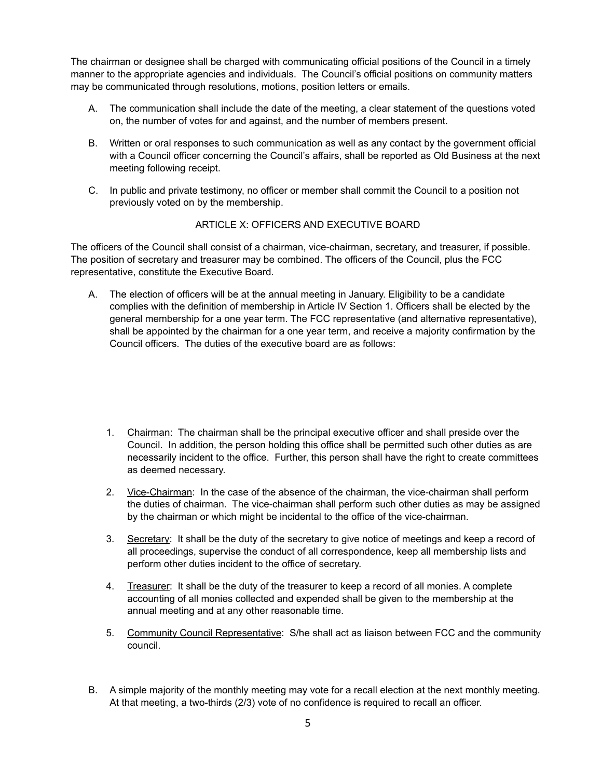The chairman or designee shall be charged with communicating official positions of the Council in a timely manner to the appropriate agencies and individuals. The Council's official positions on community matters may be communicated through resolutions, motions, position letters or emails.

- A. The communication shall include the date of the meeting, a clear statement of the questions voted on, the number of votes for and against, and the number of members present.
- B. Written or oral responses to such communication as well as any contact by the government official with a Council officer concerning the Council's affairs, shall be reported as Old Business at the next meeting following receipt.
- C. In public and private testimony, no officer or member shall commit the Council to a position not previously voted on by the membership.

## ARTICLE X: OFFICERS AND EXECUTIVE BOARD

The officers of the Council shall consist of a chairman, vice-chairman, secretary, and treasurer, if possible. The position of secretary and treasurer may be combined. The officers of the Council, plus the FCC representative, constitute the Executive Board.

- A. The election of officers will be at the annual meeting in January. Eligibility to be a candidate complies with the definition of membership in Article IV Section 1. Officers shall be elected by the general membership for a one year term. The FCC representative (and alternative representative), shall be appointed by the chairman for a one year term, and receive a majority confirmation by the Council officers. The duties of the executive board are as follows:
	- 1. Chairman: The chairman shall be the principal executive officer and shall preside over the Council. In addition, the person holding this office shall be permitted such other duties as are necessarily incident to the office. Further, this person shall have the right to create committees as deemed necessary.
	- 2. Vice-Chairman: In the case of the absence of the chairman, the vice-chairman shall perform the duties of chairman. The vice-chairman shall perform such other duties as may be assigned by the chairman or which might be incidental to the office of the vice-chairman.
	- 3. Secretary: It shall be the duty of the secretary to give notice of meetings and keep a record of all proceedings, supervise the conduct of all correspondence, keep all membership lists and perform other duties incident to the office of secretary.
	- 4. Treasurer: It shall be the duty of the treasurer to keep a record of all monies. A complete accounting of all monies collected and expended shall be given to the membership at the annual meeting and at any other reasonable time.
	- 5. Community Council Representative: S/he shall act as liaison between FCC and the community council.
- B. A simple majority of the monthly meeting may vote for a recall election at the next monthly meeting. At that meeting, a two-thirds (2/3) vote of no confidence is required to recall an officer.